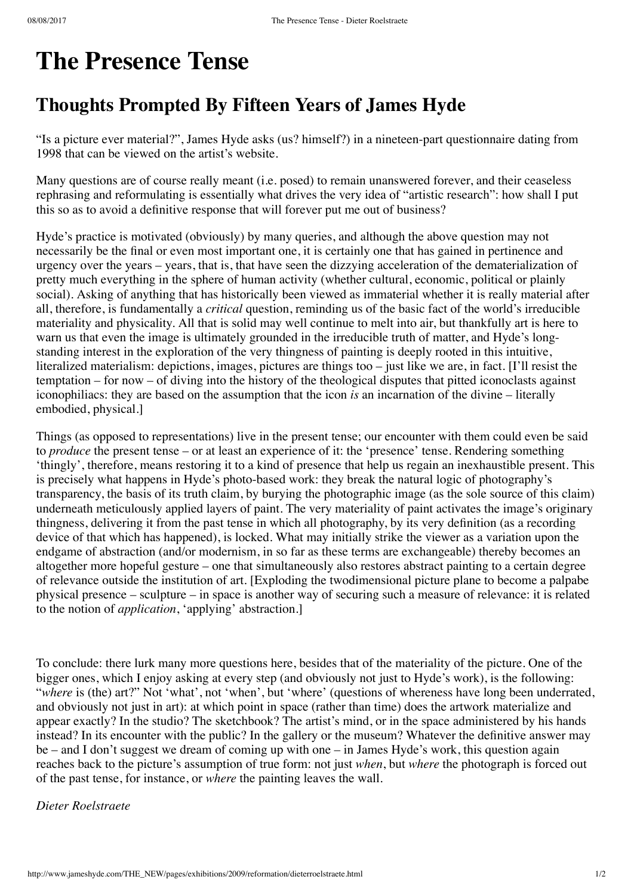## **The Presence Tense**

## **Thoughts Prompted By Fifteen Years of James Hyde**

"Is a picture ever material?", James Hyde asks (us? himself?) in a nineteen-part questionnaire dating from 1998 that can be viewed on the artist's website.

Many questions are of course really meant (i.e. posed) to remain unanswered forever, and their ceaseless rephrasing and reformulating is essentially what drives the very idea of "artistic research": how shall I put this so as to avoid a definitive response that will forever put me out of business?

Hyde's practice is motivated (obviously) by many queries, and although the above question may not necessarily be the final or even most important one, it is certainly one that has gained in pertinence and urgency over the years – years, that is, that have seen the dizzying acceleration of the dematerialization of pretty much everything in the sphere of human activity (whether cultural, economic, political or plainly social). Asking of anything that has historically been viewed as immaterial whether it is really material after all, therefore, is fundamentally a *critical* question, reminding us of the basic fact of the world's irreducible materiality and physicality. All that is solid may well continue to melt into air, but thankfully art is here to warn us that even the image is ultimately grounded in the irreducible truth of matter, and Hyde's longstanding interest in the exploration of the very thingness of painting is deeply rooted in this intuitive, literalized materialism: depictions, images, pictures are things too – just like we are, in fact. [I'll resist the temptation – for now – of diving into the history of the theological disputes that pitted iconoclasts against iconophiliacs: they are based on the assumption that the icon *is* an incarnation of the divine – literally embodied, physical.]

Things (as opposed to representations) live in the present tense; our encounter with them could even be said to *produce* the present tense – or at least an experience of it: the 'presence' tense. Rendering something 'thingly', therefore, means restoring it to a kind of presence that help us regain an inexhaustible present. This is precisely what happens in Hyde's photo-based work: they break the natural logic of photography's transparency, the basis of its truth claim, by burying the photographic image (as the sole source of this claim) underneath meticulously applied layers of paint. The very materiality of paint activates the image's originary thingness, delivering it from the past tense in which all photography, by its very definition (as a recording device of that which has happened), is locked. What may initially strike the viewer as a variation upon the endgame of abstraction (and/or modernism, in so far as these terms are exchangeable) thereby becomes an altogether more hopeful gesture – one that simultaneously also restores abstract painting to a certain degree of relevance outside the institution of art. [Exploding the twodimensional picture plane to become a palpabe physical presence – sculpture – in space is another way of securing such a measure of relevance: it is related to the notion of *application*, 'applying' abstraction.]

To conclude: there lurk many more questions here, besides that of the materiality of the picture. One of the bigger ones, which I enjoy asking at every step (and obviously not just to Hyde's work), is the following: "where is (the) art?" Not 'what', not 'when', but 'where' (questions of whereness have long been underrated, and obviously not just in art): at which point in space (rather than time) does the artwork materialize and appear exactly? In the studio? The sketchbook? The artist's mind, or in the space administered by his hands instead? In its encounter with the public? In the gallery or the museum? Whatever the definitive answer may be – and I don't suggest we dream of coming up with one – in James Hyde's work, this question again reaches back to the picture's assumption of true form: not just *when*, but *where* the photograph is forced out of the past tense, for instance, or *where* the painting leaves the wall.

## *Dieter Roelstraete*